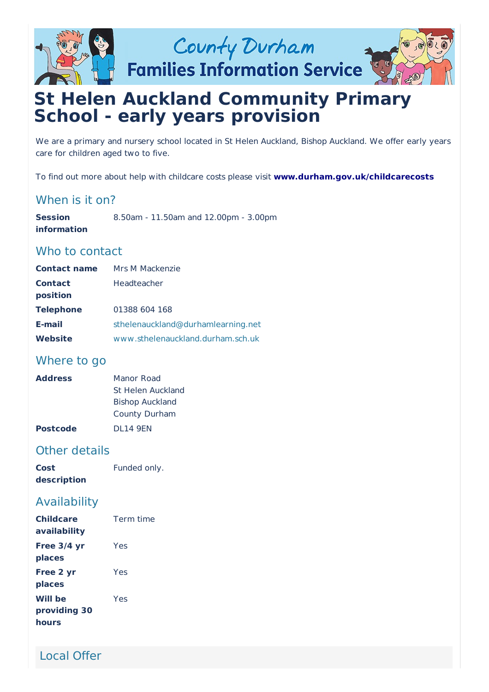

**Families Information Service** 



# **St Helen Auckland Community Primary School - early years provision**

We are a primary and nursery school located in St Helen Auckland, Bishop Auckland. We offer early years care for children aged two to five.

To find out more about help with childcare costs please visit **[www.durham.gov.uk/childcarecosts](http://www.durham.gov.uk/childcarecosts)**

# When is it on?

**Session information** 8.50am - 11.50am and 12.00pm - 3.00pm

# Who to contact

| <b>Contact name</b> | Mrs M Mackenzie                    |
|---------------------|------------------------------------|
| <b>Contact</b>      | Headteacher                        |
| position            |                                    |
| <b>Telephone</b>    | 01388 604 168                      |
| E-mail              | sthelenauckland@durhamlearning.net |
| <b>Website</b>      | www.sthelenauckland.durham.sch.uk  |

# Where to go

| <b>Address</b>  | Manor Road             |
|-----------------|------------------------|
|                 | St Helen Auckland      |
|                 | <b>Bishop Auckland</b> |
|                 | County Durham          |
| <b>Postcode</b> | <b>DL14 9EN</b>        |

# Other details

| Cost        | Funded only. |
|-------------|--------------|
| description |              |

# Availability

| <b>Childcare</b><br>availability        | Term time |
|-----------------------------------------|-----------|
| Free 3/4 yr<br>places                   | Yes       |
| Free 2 yr<br>places                     | Yes       |
| <b>Will be</b><br>providing 30<br>hours | Yes       |

Local Offer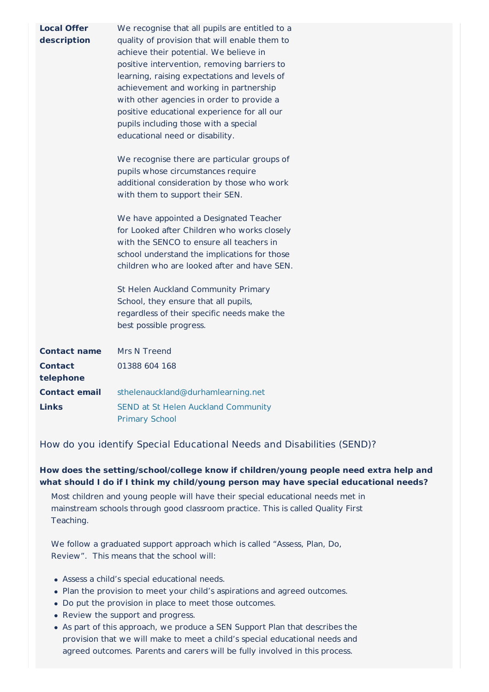| <b>Local Offer</b><br>description | We recognise that all pupils are entitled to a<br>quality of provision that will enable them to<br>achieve their potential. We believe in<br>positive intervention, removing barriers to<br>learning, raising expectations and levels of<br>achievement and working in partnership<br>with other agencies in order to provide a<br>positive educational experience for all our<br>pupils including those with a special<br>educational need or disability.<br>We recognise there are particular groups of<br>pupils whose circumstances require<br>additional consideration by those who work<br>with them to support their SEN.<br>We have appointed a Designated Teacher<br>for Looked after Children who works closely<br>with the SENCO to ensure all teachers in<br>school understand the implications for those<br>children who are looked after and have SEN.<br>St Helen Auckland Community Primary<br>School, they ensure that all pupils,<br>regardless of their specific needs make the<br>best possible progress. |
|-----------------------------------|-------------------------------------------------------------------------------------------------------------------------------------------------------------------------------------------------------------------------------------------------------------------------------------------------------------------------------------------------------------------------------------------------------------------------------------------------------------------------------------------------------------------------------------------------------------------------------------------------------------------------------------------------------------------------------------------------------------------------------------------------------------------------------------------------------------------------------------------------------------------------------------------------------------------------------------------------------------------------------------------------------------------------------|
| <b>Contact name</b>               | Mrs N Treend                                                                                                                                                                                                                                                                                                                                                                                                                                                                                                                                                                                                                                                                                                                                                                                                                                                                                                                                                                                                                  |
| <b>Contact</b>                    | 01388 604 168                                                                                                                                                                                                                                                                                                                                                                                                                                                                                                                                                                                                                                                                                                                                                                                                                                                                                                                                                                                                                 |
| telephone                         |                                                                                                                                                                                                                                                                                                                                                                                                                                                                                                                                                                                                                                                                                                                                                                                                                                                                                                                                                                                                                               |
| <b>Contact email</b>              | sthelenauckland@durhamlearning.net                                                                                                                                                                                                                                                                                                                                                                                                                                                                                                                                                                                                                                                                                                                                                                                                                                                                                                                                                                                            |
| Links                             | <b>SEND at St Helen Auckland Community</b><br><b>Primary School</b>                                                                                                                                                                                                                                                                                                                                                                                                                                                                                                                                                                                                                                                                                                                                                                                                                                                                                                                                                           |

How do you identify Special Educational Needs and Disabilities (SEND)?

### **How does the setting/school/college know if children/young people need extra help and what should I do if I think my child/young person may have special educational needs?**

Most children and young people will have their special educational needs met in mainstream schools through good classroom practice. This is called Quality First Teaching.

We follow a graduated support approach which is called "Assess, Plan, Do, Review". This means that the school will:

- Assess a child's special educational needs.
- Plan the provision to meet your child's aspirations and agreed outcomes.
- Do put the provision in place to meet those outcomes.
- Review the support and progress.
- As part of this approach, we produce a SEN Support Plan that describes the provision that we will make to meet a child's special educational needs and agreed outcomes. Parents and carers will be fully involved in this process.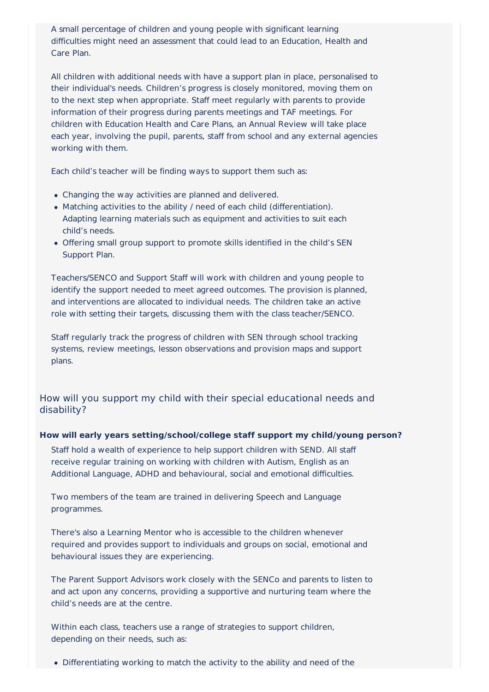A small percentage of children and young people with significant learning difficulties might need an assessment that could lead to an Education, Health and Care Plan.

All children with additional needs with have a support plan in place, personalised to their individual's needs. Children's progress is closely monitored, moving them on to the next step when appropriate. Staff meet regularly with parents to provide information of their progress during parents meetings and TAF meetings. For children with Education Health and Care Plans, an Annual Review will take place each year, involving the pupil, parents, staff from school and any external agencies working with them.

Each child's teacher will be finding ways to support them such as:

- Changing the way activities are planned and delivered.
- Matching activities to the ability / need of each child (differentiation). Adapting learning materials such as equipment and activities to suit each child's needs.
- Offering small group support to promote skills identified in the child's SEN Support Plan.

Teachers/SENCO and Support Staff will work with children and young people to identify the support needed to meet agreed outcomes. The provision is planned, and interventions are allocated to individual needs. The children take an active role with setting their targets, discussing them with the class teacher/SENCO.

Staff regularly track the progress of children with SEN through school tracking systems, review meetings, lesson observations and provision maps and support plans.

How will you support my child with their special educational needs and disability?

#### **How will early years setting/school/college staff support my child/young person?**

Staff hold a wealth of experience to help support children with SEND. All staff receive regular training on working with children with Autism, English as an Additional Language, ADHD and behavioural, social and emotional difficulties.

Two members of the team are trained in delivering Speech and Language programmes.

There's also a Learning Mentor who is accessible to the children whenever required and provides support to individuals and groups on social, emotional and behavioural issues they are experiencing.

The Parent Support Advisors work closely with the SENCo and parents to listen to and act upon any concerns, providing a supportive and nurturing team where the child's needs are at the centre.

Within each class, teachers use a range of strategies to support children, depending on their needs, such as:

Differentiating working to match the activity to the ability and need of the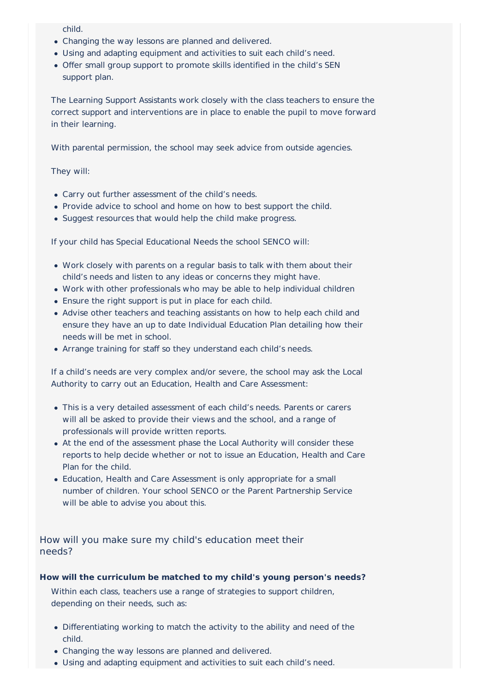child.

- Changing the way lessons are planned and delivered.
- Using and adapting equipment and activities to suit each child's need.
- Offer small group support to promote skills identified in the child's SEN support plan.

The Learning Support Assistants work closely with the class teachers to ensure the correct support and interventions are in place to enable the pupil to move forward in their learning.

With parental permission, the school may seek advice from outside agencies.

They will:

- Carry out further assessment of the child's needs.
- Provide advice to school and home on how to best support the child.
- Suggest resources that would help the child make progress.

If your child has Special Educational Needs the school SENCO will:

- Work closely with parents on a regular basis to talk with them about their child's needs and listen to any ideas or concerns they might have.
- Work with other professionals who may be able to help individual children
- Ensure the right support is put in place for each child.
- Advise other teachers and teaching assistants on how to help each child and ensure they have an up to date Individual Education Plan detailing how their needs will be met in school.
- Arrange training for staff so they understand each child's needs.

If a child's needs are very complex and/or severe, the school may ask the Local Authority to carry out an Education, Health and Care Assessment:

- This is a very detailed assessment of each child's needs. Parents or carers will all be asked to provide their views and the school, and a range of professionals will provide written reports.
- At the end of the assessment phase the Local Authority will consider these reports to help decide whether or not to issue an Education, Health and Care Plan for the child.
- Education, Health and Care Assessment is only appropriate for a small number of children. Your school SENCO or the Parent Partnership Service will be able to advise you about this.

How will you make sure my child's education meet their needs?

#### **How will the curriculum be matched to my child's young person's needs?**

Within each class, teachers use a range of strategies to support children, depending on their needs, such as:

- Differentiating working to match the activity to the ability and need of the child.
- Changing the way lessons are planned and delivered.
- Using and adapting equipment and activities to suit each child's need.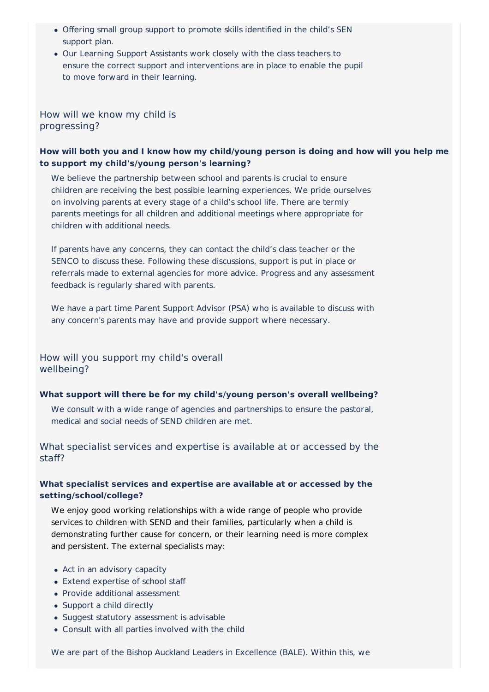- Offering small group support to promote skills identified in the child's SEN support plan.
- Our Learning Support Assistants work closely with the class teachers to ensure the correct support and interventions are in place to enable the pupil to move forward in their learning.

How will we know my child is progressing?

# **How will both you and I know how my child/young person is doing and how will you help me to support my child's/young person's learning?**

We believe the partnership between school and parents is crucial to ensure children are receiving the best possible learning experiences. We pride ourselves on involving parents at every stage of a child's school life. There are termly parents meetings for all children and additional meetings where appropriate for children with additional needs.

If parents have any concerns, they can contact the child's class teacher or the SENCO to discuss these. Following these discussions, support is put in place or referrals made to external agencies for more advice. Progress and any assessment feedback is regularly shared with parents.

We have a part time Parent Support Advisor (PSA) who is available to discuss with any concern's parents may have and provide support where necessary.

How will you support my child's overall wellbeing?

#### **What support will there be for my child's/young person's overall wellbeing?**

We consult with a wide range of agencies and partnerships to ensure the pastoral, medical and social needs of SEND children are met.

What specialist services and expertise is available at or accessed by the staff?

### **What specialist services and expertise are available at or accessed by the setting/school/college?**

We enjoy good working relationships with a wide range of people who provide services to children with SEND and their families, particularly when a child is demonstrating further cause for concern, or their learning need is more complex and persistent. The external specialists may:

- Act in an advisory capacity
- Extend expertise of school staff
- Provide additional assessment
- Support a child directly
- Suggest statutory assessment is advisable
- Consult with all parties involved with the child

We are part of the Bishop Auckland Leaders in Excellence (BALE). Within this, we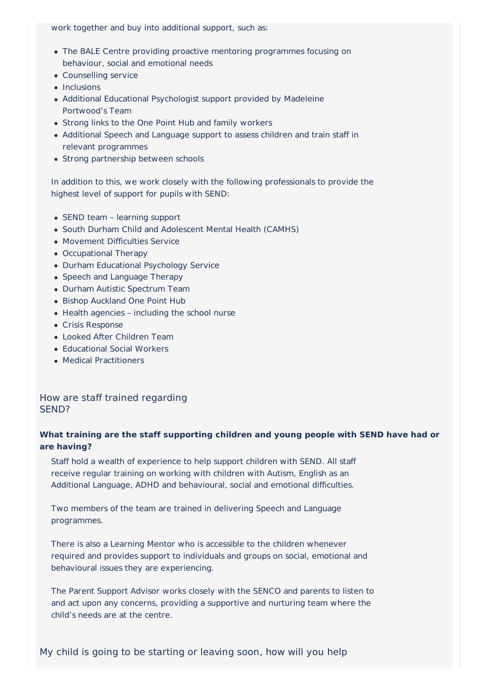work together and buy into additional support, such as:

- The BALE Centre providing proactive mentoring programmes focusing on behaviour, social and emotional needs
- Counselling service
- $\bullet$  Inclusions
- Additional Educational Psychologist support provided by Madeleine Portwood's Team
- Strong links to the One Point Hub and family workers
- Additional Speech and Language support to assess children and train staff in relevant programmes
- Strong partnership between schools

In addition to this, we work closely with the following professionals to provide the highest level of support for pupils with SEND:

- SEND team learning support
- South Durham Child and Adolescent Mental Health (CAMHS)
- Movement Difficulties Service
- Occupational Therapy
- Durham Educational Psychology Service
- Speech and Language Therapy
- Durham Autistic Spectrum Team
- Bishop Auckland One Point Hub
- Health agencies including the school nurse
- Crisis Response
- Looked After Children Team
- Educational Social Workers
- Medical Practitioners

### How are staff trained regarding SEND?

# **What training are the staff supporting children and young people with SEND have had or are having?**

Staff hold a wealth of experience to help support children with SEND. All staff receive regular training on working with children with Autism, English as an Additional Language, ADHD and behavioural, social and emotional difficulties.

Two members of the team are trained in delivering Speech and Language programmes.

There is also a Learning Mentor who is accessible to the children whenever required and provides support to individuals and groups on social, emotional and behavioural issues they are experiencing.

The Parent Support Advisor works closely with the SENCO and parents to listen to and act upon any concerns, providing a supportive and nurturing team where the child's needs are at the centre.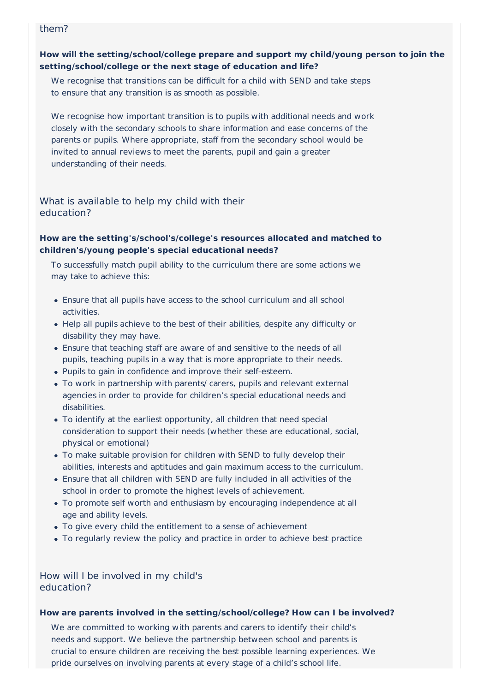### them?

# **How will the setting/school/college prepare and support my child/young person to join the setting/school/college or the next stage of education and life?**

We recognise that transitions can be difficult for a child with SEND and take steps to ensure that any transition is as smooth as possible.

We recognise how important transition is to pupils with additional needs and work closely with the secondary schools to share information and ease concerns of the parents or pupils. Where appropriate, staff from the secondary school would be invited to annual reviews to meet the parents, pupil and gain a greater understanding of their needs.

# What is available to help my child with their education?

# **How are the setting's/school's/college's resources allocated and matched to children's/young people's special educational needs?**

To successfully match pupil ability to the curriculum there are some actions we may take to achieve this:

- Ensure that all pupils have access to the school curriculum and all school activities.
- Help all pupils achieve to the best of their abilities, despite any difficulty or disability they may have.
- Ensure that teaching staff are aware of and sensitive to the needs of all pupils, teaching pupils in a way that is more appropriate to their needs.
- Pupils to gain in confidence and improve their self-esteem.
- To work in partnership with parents/ carers, pupils and relevant external agencies in order to provide for children's special educational needs and disabilities.
- To identify at the earliest opportunity, all children that need special consideration to support their needs (whether these are educational, social, physical or emotional)
- To make suitable provision for children with SEND to fully develop their abilities, interests and aptitudes and gain maximum access to the curriculum.
- Ensure that all children with SEND are fully included in all activities of the school in order to promote the highest levels of achievement.
- To promote self worth and enthusiasm by encouraging independence at all age and ability levels.
- To give every child the entitlement to a sense of achievement
- To regularly review the policy and practice in order to achieve best practice

How will I be involved in my child's education?

#### **How are parents involved in the setting/school/college? How can I be involved?**

We are committed to working with parents and carers to identify their child's needs and support. We believe the partnership between school and parents is crucial to ensure children are receiving the best possible learning experiences. We pride ourselves on involving parents at every stage of a child's school life.